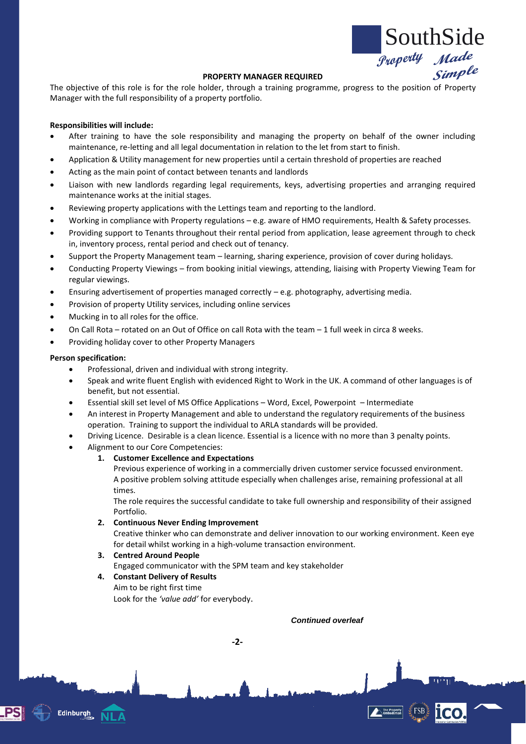

#### **PROPERTY MANAGER REQUIRED**

The objective of this role is for the role holder, through a training programme, progress to the position of Property Manager with the full responsibility of a property portfolio.

### **Responsibilities will include:**

- After training to have the sole responsibility and managing the property on behalf of the owner including maintenance, re-letting and all legal documentation in relation to the let from start to finish.
- Application & Utility management for new properties until a certain threshold of properties are reached
- Acting as the main point of contact between tenants and landlords
- Liaison with new landlords regarding legal requirements, keys, advertising properties and arranging required maintenance works at the initial stages.
- Reviewing property applications with the Lettings team and reporting to the landlord.
- Working in compliance with Property regulations e.g. aware of HMO requirements, Health & Safety processes.
- Providing support to Tenants throughout their rental period from application, lease agreement through to check in, inventory process, rental period and check out of tenancy.
- Support the Property Management team learning, sharing experience, provision of cover during holidays.
- Conducting Property Viewings from booking initial viewings, attending, liaising with Property Viewing Team for regular viewings.
- Ensuring advertisement of properties managed correctly  $-e.g.$  photography, advertising media.
- Provision of property Utility services, including online services
- Mucking in to all roles for the office.
- On Call Rota rotated on an Out of Office on call Rota with the team 1 full week in circa 8 weeks.
- Providing holiday cover to other Property Managers

#### **Person specification:**

**Edinburgh** 

- Professional, driven and individual with strong integrity.
	- Speak and write fluent English with evidenced Right to Work in the UK. A command of other languages is of benefit, but not essential.
- Essential skill set level of MS Office Applications Word, Excel, Powerpoint Intermediate
- An interest in Property Management and able to understand the regulatory requirements of the business operation. Training to support the individual to ARLA standards will be provided.
- Driving Licence. Desirable is a clean licence. Essential is a licence with no more than 3 penalty points.
- Alignment to our Core Competencies:
	- **1. Customer Excellence and Expectations** 
		- Previous experience of working in a commercially driven customer service focussed environment. A positive problem solving attitude especially when challenges arise, remaining professional at all times.

The role requires the successful candidate to take full ownership and responsibility of their assigned Portfolio.

**2. Continuous Never Ending Improvement**

Creative thinker who can demonstrate and deliver innovation to our working environment. Keen eye for detail whilst working in a high-volume transaction environment.

# **3. Centred Around People**

Engaged communicator with the SPM team and key stakeholder

**-2-**

- **4. Constant Delivery of Results**
	- Aim to be right first time

Look for the *'value add'* for everybody.

*Continued overleaf*